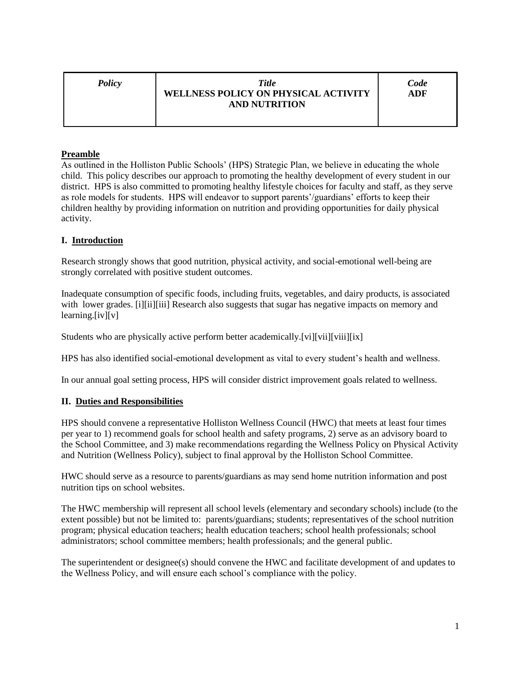| Policy | <b>Title</b><br>WELLNESS POLICY ON PHYSICAL ACTIVITY<br><b>AND NUTRITION</b> | Code<br><b>ADF</b> |
|--------|------------------------------------------------------------------------------|--------------------|
|--------|------------------------------------------------------------------------------|--------------------|

#### **Preamble**

As outlined in the Holliston Public Schools' (HPS) Strategic Plan, we believe in educating the whole child. This policy describes our approach to promoting the healthy development of every student in our district. HPS is also committed to promoting healthy lifestyle choices for faculty and staff, as they serve as role models for students. HPS will endeavor to support parents'/guardians' efforts to keep their children healthy by providing information on nutrition and providing opportunities for daily physical activity.

## **I. Introduction**

Research strongly shows that good nutrition, physical activity, and social-emotional well-being are strongly correlated with positive student outcomes.

Inadequate consumption of specific foods, including fruits, vegetables, and dairy products, is associated with lower grades. [i][ii][iii] Research also suggests that sugar has negative impacts on memory and  $learning.[iv][v]$ 

Students who are physically active perform better academically.[vi][vii][vii][ix]

HPS has also identified social-emotional development as vital to every student's health and wellness.

In our annual goal setting process, HPS will consider district improvement goals related to wellness.

#### **II. Duties and Responsibilities**

HPS should convene a representative Holliston Wellness Council (HWC) that meets at least four times per year to 1) recommend goals for school health and safety programs, 2) serve as an advisory board to the School Committee, and 3) make recommendations regarding the Wellness Policy on Physical Activity and Nutrition (Wellness Policy), subject to final approval by the Holliston School Committee.

HWC should serve as a resource to parents/guardians as may send home nutrition information and post nutrition tips on school websites.

The HWC membership will represent all school levels (elementary and secondary schools) include (to the extent possible) but not be limited to: parents/guardians; students; representatives of the school nutrition program; physical education teachers; health education teachers; school health professionals; school administrators; school committee members; health professionals; and the general public.

The superintendent or designee(s) should convene the HWC and facilitate development of and updates to the Wellness Policy, and will ensure each school's compliance with the policy.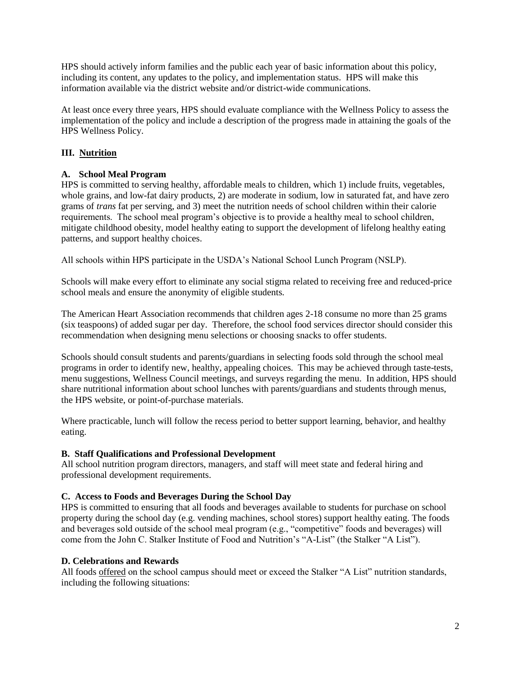HPS should actively inform families and the public each year of basic information about this policy, including its content, any updates to the policy, and implementation status. HPS will make this information available via the district website and/or district-wide communications.

At least once every three years, HPS should evaluate compliance with the Wellness Policy to assess the implementation of the policy and include a description of the progress made in attaining the goals of the HPS Wellness Policy.

## **III. Nutrition**

## **A. School Meal Program**

HPS is committed to serving healthy, affordable meals to children, which 1) include fruits, vegetables, whole grains, and low-fat dairy products, 2) are moderate in sodium, low in saturated fat, and have zero grams of *trans* fat per serving, and 3) meet the nutrition needs of school children within their calorie requirements. The school meal program's objective is to provide a healthy meal to school children, mitigate childhood obesity, model healthy eating to support the development of lifelong healthy eating patterns, and support healthy choices.

All schools within HPS participate in the USDA's National School Lunch Program (NSLP).

Schools will make every effort to eliminate any social stigma related to receiving free and reduced-price school meals and ensure the anonymity of eligible students.

The American Heart Association recommends that children ages 2-18 consume no more than 25 grams (six teaspoons) of added sugar per day. Therefore, the school food services director should consider this recommendation when designing menu selections or choosing snacks to offer students.

Schools should consult students and parents/guardians in selecting foods sold through the school meal programs in order to identify new, healthy, appealing choices. This may be achieved through taste-tests, menu suggestions, Wellness Council meetings, and surveys regarding the menu. In addition, HPS should share nutritional information about school lunches with parents/guardians and students through menus, the HPS website, or point-of-purchase materials.

Where practicable, lunch will follow the recess period to better support learning, behavior, and healthy eating.

## **B. Staff Qualifications and Professional Development**

All school nutrition program directors, managers, and staff will meet state and federal hiring and professional development requirements.

## **C. Access to Foods and Beverages During the School Day**

HPS is committed to ensuring that all foods and beverages available to students for purchase on school property during the school day (e.g. vending machines, school stores) support healthy eating. The foods and beverages sold outside of the school meal program (e.g., "competitive" foods and beverages) will come from the John C. Stalker Institute of Food and Nutrition's "A-List" (the Stalker "A List").

#### **D. Celebrations and Rewards**

All foods offered on the school campus should meet or exceed the Stalker "A List" nutrition standards, including the following situations: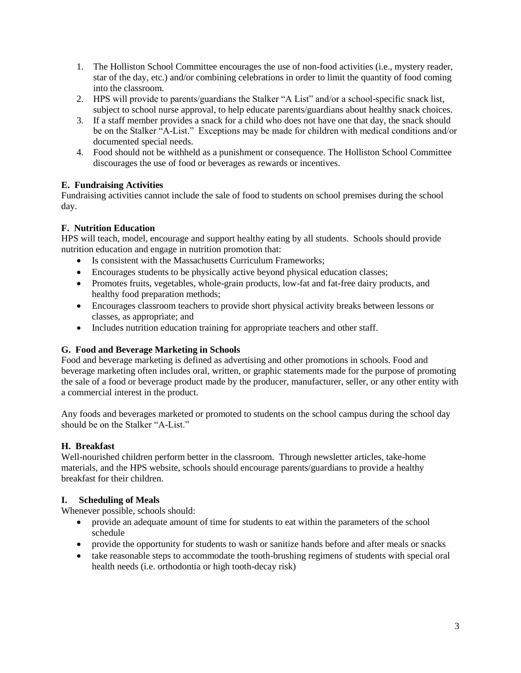- 1. The Holliston School Committee encourages the use of non-food activities (i.e., mystery reader, star of the day, etc.) and/or combining celebrations in order to limit the quantity of food coming into the classroom.
- 2. HPS will provide to parents/guardians the Stalker "A List" and/or a school-specific snack list, subject to school nurse approval, to help educate parents/guardians about healthy snack choices.
- 3. If a staff member provides a snack for a child who does not have one that day, the snack should be on the Stalker "A-List." Exceptions may be made for children with medical conditions and/or documented special needs.
- 4. Food should not be withheld as a punishment or consequence. The Holliston School Committee discourages the use of food or beverages as rewards or incentives.

# **E. Fundraising Activities**

Fundraising activities cannot include the sale of food to students on school premises during the school day.

# **F. Nutrition Education**

HPS will teach, model, encourage and support healthy eating by all students. Schools should provide nutrition education and engage in nutrition promotion that:

- Is consistent with the Massachusetts Curriculum Frameworks;
- Encourages students to be physically active beyond physical education classes;
- Promotes fruits, vegetables, whole-grain products, low-fat and fat-free dairy products, and healthy food preparation methods;
- Encourages classroom teachers to provide short physical activity breaks between lessons or classes, as appropriate; and
- Includes nutrition education training for appropriate teachers and other staff.

## **G. Food and Beverage Marketing in Schools**

Food and beverage marketing is defined as advertising and other promotions in schools. Food and beverage marketing often includes oral, written, or graphic statements made for the purpose of promoting the sale of a food or beverage product made by the producer, manufacturer, seller, or any other entity with a commercial interest in the product.

Any foods and beverages marketed or promoted to students on the school campus during the school day should be on the Stalker "A-List."

## **H. Breakfast**

Well-nourished children perform better in the classroom. Through newsletter articles, take-home materials, and the HPS website, schools should encourage parents/guardians to provide a healthy breakfast for their children.

## **I. Scheduling of Meals**

Whenever possible, schools should:

- provide an adequate amount of time for students to eat within the parameters of the school schedule
- provide the opportunity for students to wash or sanitize hands before and after meals or snacks
- take reasonable steps to accommodate the tooth-brushing regimens of students with special oral health needs (i.e. orthodontia or high tooth-decay risk)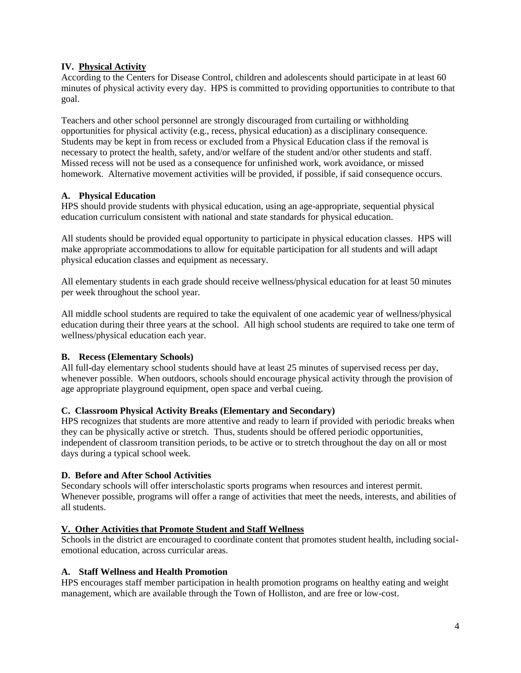#### **IV. Physical Activity**

According to the Centers for Disease Control, children and adolescents should participate in at least 60 minutes of physical activity every day. HPS is committed to providing opportunities to contribute to that goal.

Teachers and other school personnel are strongly discouraged from curtailing or withholding opportunities for physical activity (e.g., recess, physical education) as a disciplinary consequence. Students may be kept in from recess or excluded from a Physical Education class if the removal is necessary to protect the health, safety, and/or welfare of the student and/or other students and staff. Missed recess will not be used as a consequence for unfinished work, work avoidance, or missed homework. Alternative movement activities will be provided, if possible, if said consequence occurs.

#### **A. Physical Education**

HPS should provide students with physical education, using an age-appropriate, sequential physical education curriculum consistent with national and state standards for physical education.

All students should be provided equal opportunity to participate in physical education classes. HPS will make appropriate accommodations to allow for equitable participation for all students and will adapt physical education classes and equipment as necessary.

All elementary students in each grade should receive wellness/physical education for at least 50 minutes per week throughout the school year.

All middle school students are required to take the equivalent of one academic year of wellness/physical education during their three years at the school. All high school students are required to take one term of wellness/physical education each year.

## **B. Recess (Elementary Schools)**

All full-day elementary school students should have at least 25 minutes of supervised recess per day, whenever possible. When outdoors, schools should encourage physical activity through the provision of age appropriate playground equipment, open space and verbal cueing.

## **C. Classroom Physical Activity Breaks (Elementary and Secondary)**

HPS recognizes that students are more attentive and ready to learn if provided with periodic breaks when they can be physically active or stretch. Thus, students should be offered periodic opportunities, independent of classroom transition periods, to be active or to stretch throughout the day on all or most days during a typical school week.

## **D. Before and After School Activities**

Secondary schools will offer interscholastic sports programs when resources and interest permit. Whenever possible, programs will offer a range of activities that meet the needs, interests, and abilities of all students.

# **V. Other Activities that Promote Student and Staff Wellness**

Schools in the district are encouraged to coordinate content that promotes student health, including socialemotional education, across curricular areas.

## **A. Staff Wellness and Health Promotion**

HPS encourages staff member participation in health promotion programs on healthy eating and weight management, which are available through the Town of Holliston, and are free or low-cost.